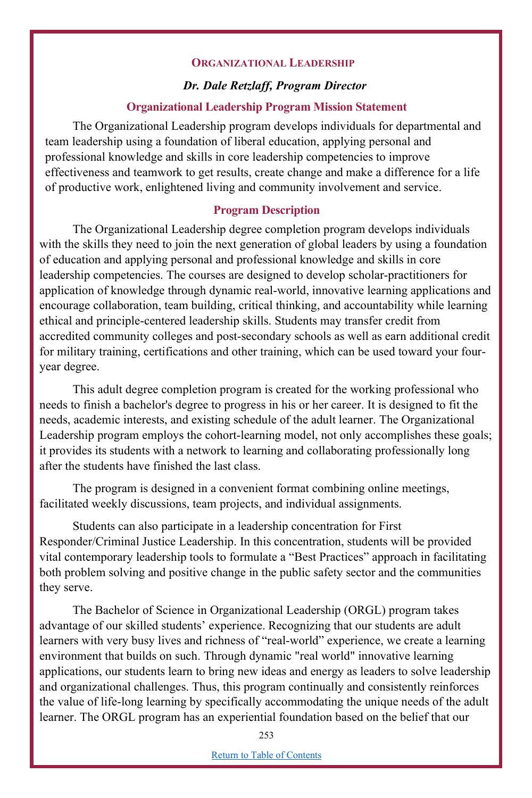#### **ORGANIZATIONAL LEADERSHIP**

### *Dr. Dale Retzlaff, Program Director*

#### **Organizational Leadership Program Mission Statement**

The Organizational Leadership program develops individuals for departmental and team leadership using a foundation of liberal education, applying personal and professional knowledge and skills in core leadership competencies to improve effectiveness and teamwork to get results, create change and make a difference for a life of productive work, enlightened living and community involvement and service.

#### **Program Description**

The Organizational Leadership degree completion program develops individuals with the skills they need to join the next generation of global leaders by using a foundation of education and applying personal and professional knowledge and skills in core leadership competencies. The courses are designed to develop scholar-practitioners for application of knowledge through dynamic real-world, innovative learning applications and encourage collaboration, team building, critical thinking, and accountability while learning ethical and principle-centered leadership skills. Students may transfer credit from accredited community colleges and post-secondary schools as well as earn additional credit for military training, certifications and other training, which can be used toward your fouryear degree.

This adult degree completion program is created for the working professional who needs to finish a bachelor's degree to progress in his or her career. It is designed to fit the needs, academic interests, and existing schedule of the adult learner. The Organizational Leadership program employs the cohort-learning model, not only accomplishes these goals; it provides its students with a network to learning and collaborating professionally long after the students have finished the last class.

The program is designed in a convenient format combining online meetings, facilitated weekly discussions, team projects, and individual assignments.

Students can also participate in a leadership concentration for First Responder/Criminal Justice Leadership. In this concentration, students will be provided vital contemporary leadership tools to formulate a "Best Practices" approach in facilitating both problem solving and positive change in the public safety sector and the communities they serve.

The Bachelor of Science in Organizational Leadership (ORGL) program takes advantage of our skilled students' experience. Recognizing that our students are adult learners with very busy lives and richness of "real-world" experience, we create a learning environment that builds on such. Through dynamic "real world" innovative learning applications, our students learn to bring new ideas and energy as leaders to solve leadership and organizational challenges. Thus, this program continually and consistently reinforces the value of life-long learning by specifically accommodating the unique needs of the adult learner. The ORGL program has an experiential foundation based on the belief that our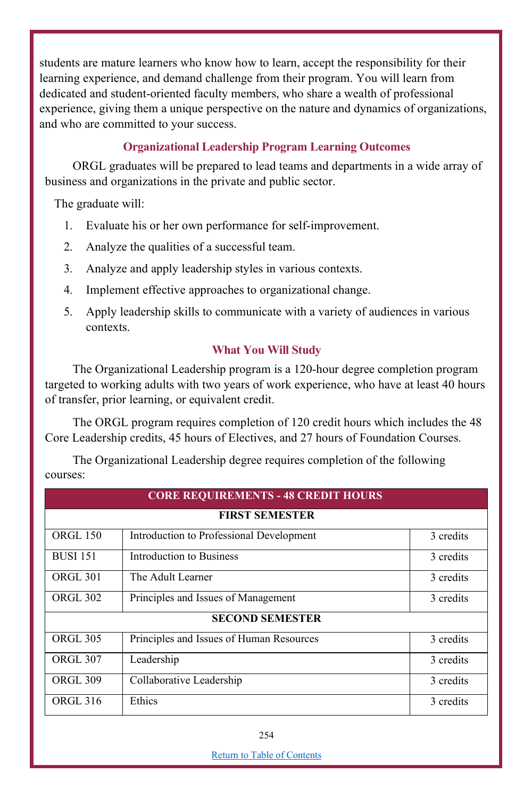students are mature learners who know how to learn, accept the responsibility for their learning experience, and demand challenge from their program. You will learn from dedicated and student-oriented faculty members, who share a wealth of professional experience, giving them a unique perspective on the nature and dynamics of organizations, and who are committed to your success.

# **Organizational Leadership Program Learning Outcomes**

ORGL graduates will be prepared to lead teams and departments in a wide array of business and organizations in the private and public sector.

The graduate will:

- 1. Evaluate his or her own performance for self-improvement.
- 2. Analyze the qualities of a successful team.
- 3. Analyze and apply leadership styles in various contexts.
- 4. Implement effective approaches to organizational change.
- 5. Apply leadership skills to communicate with a variety of audiences in various contexts.

### **What You Will Study**

The Organizational Leadership program is a 120-hour degree completion program targeted to working adults with two years of work experience, who have at least 40 hours of transfer, prior learning, or equivalent credit.

The ORGL program requires completion of 120 credit hours which includes the 48 Core Leadership credits, 45 hours of Electives, and 27 hours of Foundation Courses.

|          | The Organizational Leadership degree requires completion of the following |  |  |
|----------|---------------------------------------------------------------------------|--|--|
| courses: |                                                                           |  |  |

| <b>CORE REQUIREMENTS - 48 CREDIT HOURS</b> |                                          |           |  |  |  |
|--------------------------------------------|------------------------------------------|-----------|--|--|--|
| <b>FIRST SEMESTER</b>                      |                                          |           |  |  |  |
| <b>ORGL 150</b>                            | Introduction to Professional Development | 3 credits |  |  |  |
| <b>BUSI 151</b>                            | Introduction to Business                 | 3 credits |  |  |  |
| <b>ORGL 301</b>                            | The Adult Learner                        | 3 credits |  |  |  |
| ORGL 302                                   | Principles and Issues of Management      | 3 credits |  |  |  |
| <b>SECOND SEMESTER</b>                     |                                          |           |  |  |  |
| <b>ORGL 305</b>                            | Principles and Issues of Human Resources | 3 credits |  |  |  |
| <b>ORGL 307</b>                            | Leadership                               | 3 credits |  |  |  |
| ORGL 309                                   | Collaborative Leadership                 | 3 credits |  |  |  |
| ORGL 316                                   | Ethics                                   | 3 credits |  |  |  |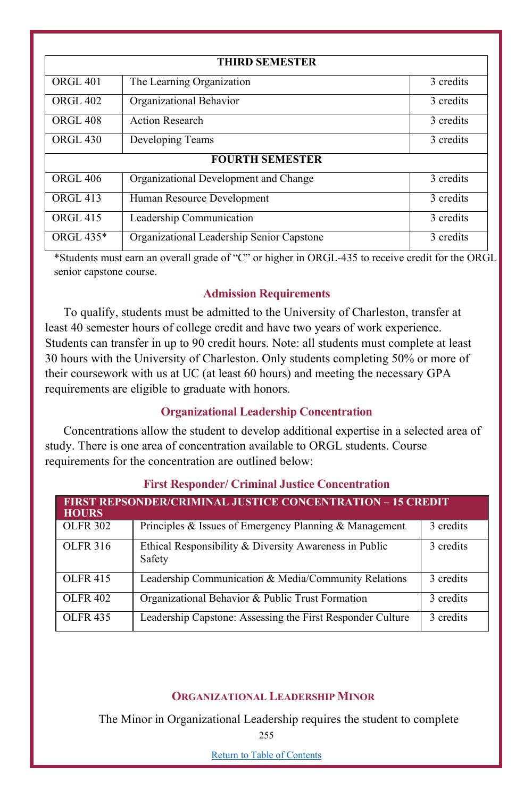| <b>THIRD SEMESTER</b>  |                                           |           |  |  |
|------------------------|-------------------------------------------|-----------|--|--|
| ORGL <sub>401</sub>    | The Learning Organization                 | 3 credits |  |  |
| <b>ORGL 402</b>        | Organizational Behavior                   | 3 credits |  |  |
| <b>ORGL 408</b>        | <b>Action Research</b>                    | 3 credits |  |  |
| ORGL <sub>430</sub>    | Developing Teams                          | 3 credits |  |  |
| <b>FOURTH SEMESTER</b> |                                           |           |  |  |
| <b>ORGL 406</b>        | Organizational Development and Change     | 3 credits |  |  |
| <b>ORGL 413</b>        | Human Resource Development                | 3 credits |  |  |
| <b>ORGL 415</b>        | Leadership Communication                  | 3 credits |  |  |
| ORGL 435*              | Organizational Leadership Senior Capstone | 3 credits |  |  |

\*Students must earn an overall grade of "C" or higher in ORGL-435 to receive credit for the ORGL senior capstone course.

## **Admission Requirements**

To qualify, students must be admitted to the University of Charleston, transfer at least 40 semester hours of college credit and have two years of work experience. Students can transfer in up to 90 credit hours. Note: all students must complete at least 30 hours with the University of Charleston. Only students completing 50% or more of their coursework with us at UC (at least 60 hours) and meeting the necessary GPA requirements are eligible to graduate with honors.

### **Organizational Leadership Concentration**

Concentrations allow the student to develop additional expertise in a selected area of study. There is one area of concentration available to ORGL students. Course requirements for the concentration are outlined below:

| <b>FIRST REPSONDER/CRIMINAL JUSTICE CONCENTRATION - 15 CREDIT</b><br><b>HOURS</b> |                                                                  |           |  |  |
|-----------------------------------------------------------------------------------|------------------------------------------------------------------|-----------|--|--|
| <b>OLFR 302</b>                                                                   | Principles & Issues of Emergency Planning $\&$ Management        | 3 credits |  |  |
| <b>OLFR 316</b>                                                                   | Ethical Responsibility & Diversity Awareness in Public<br>Safety | 3 credits |  |  |
| <b>OLFR 415</b>                                                                   | Leadership Communication & Media/Community Relations             | 3 credits |  |  |
| <b>OLFR 402</b>                                                                   | Organizational Behavior & Public Trust Formation                 | 3 credits |  |  |
| <b>OLFR 435</b>                                                                   | Leadership Capstone: Assessing the First Responder Culture       | 3 credits |  |  |

### **First Responder/ Criminal Justice Concentration**

### **ORGANIZATIONAL LEADERSHIP MINOR**

The Minor in Organizational Leadership requires the student to complete

255

Return to Table of Contents